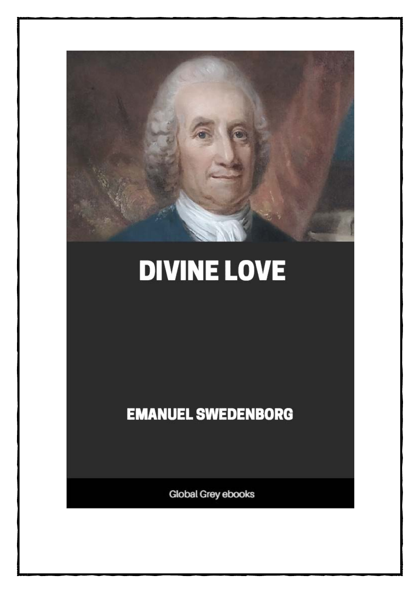

# **DIVINE LOVE**

**EMANUEL SWEDENBORG** 

Global Grey ebooks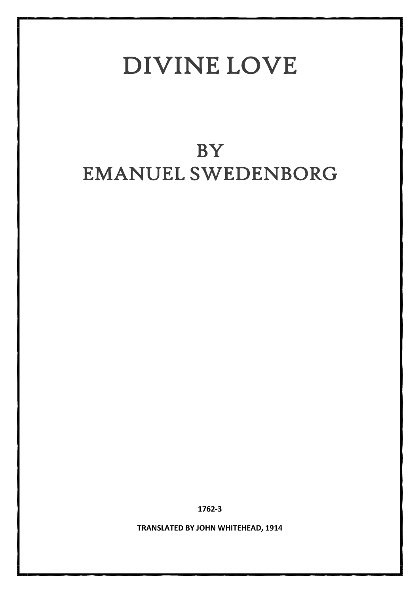# DIVINE LOVE

# BY EMANUEL SWEDENBORG

**1762-3**

**TRANSLATED BY JOHN WHITEHEAD, 1914**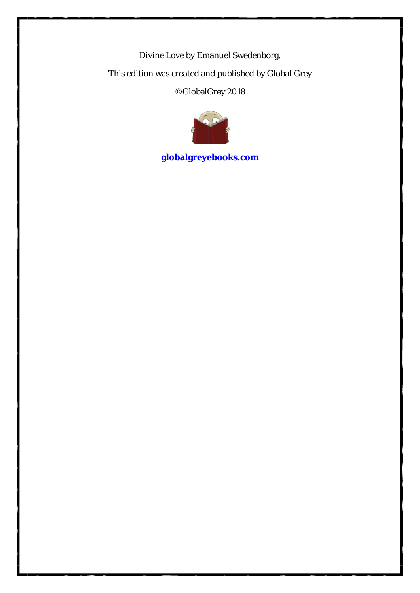Divine Love by Emanuel Swedenborg. This edition was created and published by Global Grey ©GlobalGrey 2018



**[globalgreyebooks.com](https://www.globalgreyebooks.com/)**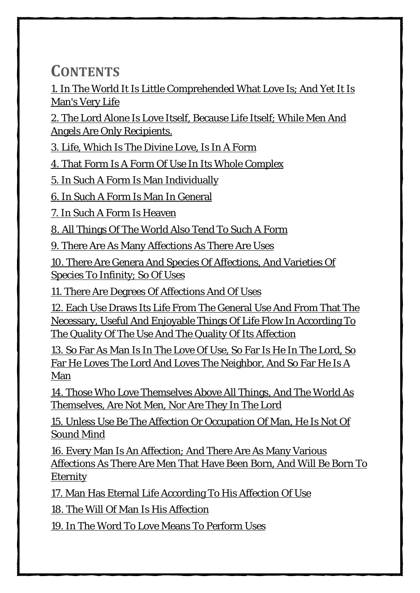**CONTENTS**

[1. In The World It Is Little Comprehended What Love Is; And Yet It Is](#page-5-0)  [Man's Very Life](#page-5-0)

[2. The Lord Alone Is Love Itself, Because Life Itself; While Men And](#page-7-0)  [Angels Are Only Recipients.](#page-7-0)

[3. Life, Which Is The Divine Love, Is In A Form](#page-8-0)

[4. That Form Is A Form Of Use In Its Whole Complex](#page-9-0)

[5. In Such A Form Is Man Individually](#page-11-0)

[6. In Such A Form Is Man In General](#page-14-0)

[7. In Such A Form Is Heaven](#page-16-0)

[8. All Things Of The World Also Tend To Such A](#page-17-0) Form

[9. There Are As Many Affections As There Are Uses](#page-18-0)

[10. There Are Genera And Species Of Affections, And Varieties Of](#page-20-0)  [Species To Infinity; So Of Uses](#page-20-0)

[11. There Are Degrees Of Affections And Of Uses](#page-22-0)

[12. Each Use Draws Its Life From The General Use And From That The](#page-24-0)  [Necessary, Useful And Enjoyable Things Of Life Flow In According To](#page-24-0)  [The Quality Of The Use And The Quality Of Its Affection](#page-24-0)

[13. So Far As Man Is In The Love Of Use, So Far Is He In The Lord, So](#page-26-0)  [Far He Loves The Lord And Loves The Neighbor, And So Far He Is A](#page-26-0)  [Man](#page-26-0)

[14. Those Who Love Themselves Above All Things, And The World As](#page-29-0)  [Themselves, Are Not Men, Nor Are They In The Lord](#page-29-0)

[15. Unless Use Be The Affection Or Occupation Of Man, He Is Not Of](#page-31-0)  [Sound Mind](#page-31-0)

[16. Every Man Is An Affection; And There Are As Many Various](#page-33-0)  [Affections As There Are Men That Have Been Born, And Will Be Born To](#page-33-0)  [Eternity](#page-33-0)

[17. Man Has Eternal Life According To His Affection Of Use](#page-35-0)

[18. The Will Of Man Is His Affection](#page-38-0)

[19. In The Word To Love Means To Perform Uses](#page-40-0)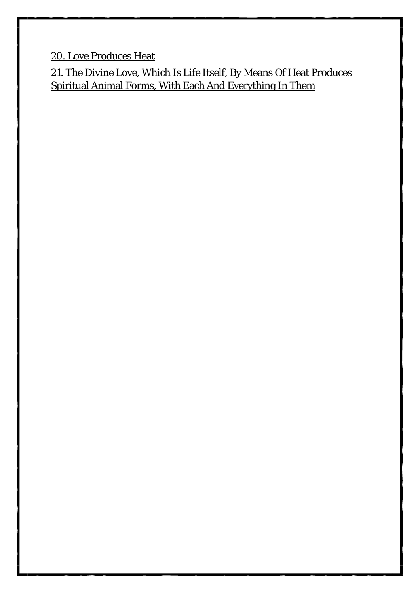[20. Love Produces Heat](#page-42-0)

[21. The Divine Love, Which Is Life Itself, By Means Of Heat Produces](#page-44-0)  [Spiritual Animal Forms, With Each And Everything In Them](#page-44-0)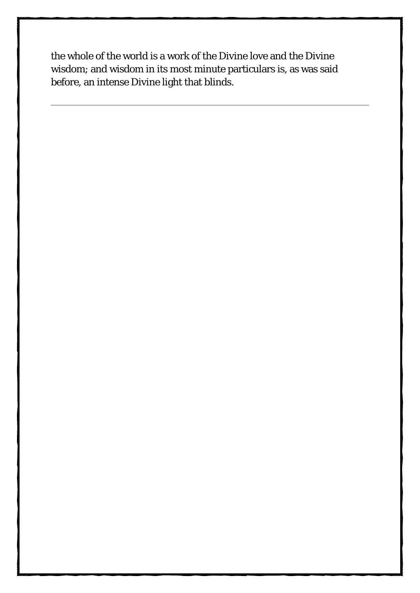the whole of the world is a work of the Divine love and the Divine wisdom; and wisdom in its most minute particulars is, as was said before, an intense Divine light that blinds.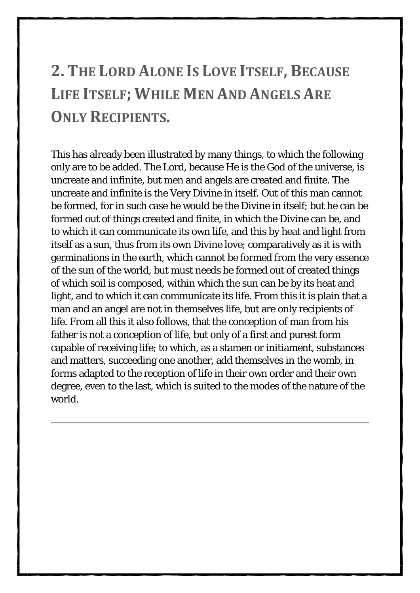## <span id="page-7-0"></span>**2. THE LORD ALONE IS LOVE ITSELF, BECAUSE LIFE ITSELF; WHILE MEN AND ANGELS ARE ONLY RECIPIENTS.**

 $\mathbf{z}$ 

This has already been illustrated by many things, to which the following only are to be added. The Lord, because He is the God of the universe, is uncreate and infinite, but men and angels are created and finite. The uncreate and infinite is the Very Divine in itself. Out of this man cannot be formed, for in such case he would be the Divine in itself; but he can be formed out of things created and finite, in which the Divine can be, and to which it can communicate its own life, and this by heat and light from itself as a sun, thus from its own Divine love; comparatively as it is with germinations in the earth, which cannot be formed from the very essence of the sun of the world, but must needs be formed out of created things of which soil is composed, within which the sun can be by its heat and light, and to which it can communicate its life. From this it is plain that a man and an angel are not in themselves life, but are only recipients of life. From all this it also follows, that the conception of man from his father is not a conception of life, but only of a first and purest form capable of receiving life; to which, as a stamen or initiament, substances and matters, succeeding one another, add themselves in the womb, in forms adapted to the reception of life in their own order and their own degree, even to the last, which is suited to the modes of the nature of the world.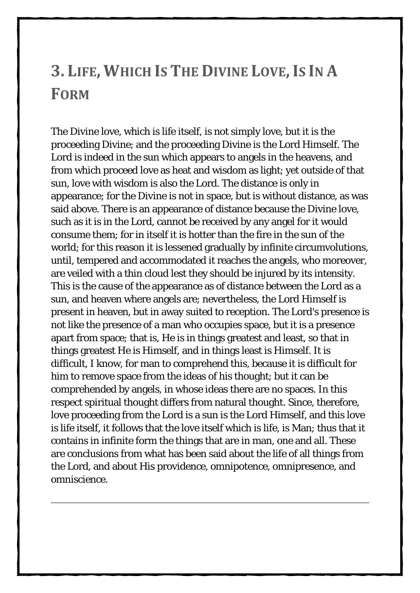#### <span id="page-8-0"></span>**3. LIFE, WHICH IS THE DIVINE LOVE,IS IN A FORM**

4

The Divine love, which is life itself, is not simply love, but it is the proceeding Divine; and the proceeding Divine is the Lord Himself. The Lord is indeed in the sun which appears to angels in the heavens, and from which proceed love as heat and wisdom as light; yet outside of that sun, love with wisdom is also the Lord. The distance is only in appearance; for the Divine is not in space, but is without distance, as was said above. There is an appearance of distance because the Divine love, such as it is in the Lord, cannot be received by any angel for it would consume them; for in itself it is hotter than the fire in the sun of the world; for this reason it is lessened gradually by infinite circumvolutions, until, tempered and accommodated it reaches the angels, who moreover, are veiled with a thin cloud lest they should be injured by its intensity. This is the cause of the appearance as of distance between the Lord as a sun, and heaven where angels are; nevertheless, the Lord Himself is present in heaven, but in away suited to reception. The Lord's presence is not like the presence of a man who occupies space, but it is a presence apart from space; that is, He is in things greatest and least, so that in things greatest He is Himself, and in things least is Himself. It is difficult, I know, for man to comprehend this, because it is difficult for him to remove space from the ideas of his thought; but it can be comprehended by angels, in whose ideas there are no spaces. In this respect spiritual thought differs from natural thought. Since, therefore, love proceeding from the Lord is a sun is the Lord Himself, and this love is life itself, it follows that the love itself which is life, is Man; thus that it contains in infinite form the things that are in man, one and all. These are conclusions from what has been said about the life of all things from the Lord, and about His providence, omnipotence, omnipresence, and omniscience.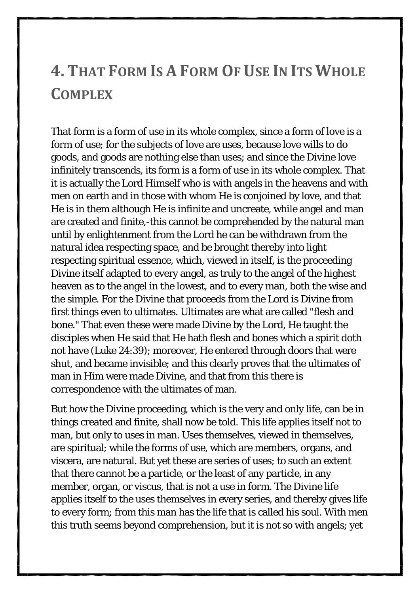#### <span id="page-9-0"></span>**4. THAT FORM IS A FORM OF USE IN ITS WHOLE COMPLEX**

That form is a form of use in its whole complex, since a form of love is a form of use; for the subjects of love are uses, because love wills to do goods, and goods are nothing else than uses; and since the Divine love infinitely transcends, its form is a form of use in its whole complex. That it is actually the Lord Himself who is with angels in the heavens and with men on earth and in those with whom He is conjoined by love, and that He is in them although He is infinite and uncreate, while angel and man are created and finite,-this cannot be comprehended by the natural man until by enlightenment from the Lord he can be withdrawn from the natural idea respecting space, and be brought thereby into light respecting spiritual essence, which, viewed in itself, is the proceeding Divine itself adapted to every angel, as truly to the angel of the highest heaven as to the angel in the lowest, and to every man, both the wise and the simple. For the Divine that proceeds from the Lord is Divine from first things even to ultimates. Ultimates are what are called "flesh and bone." That even these were made Divine by the Lord, He taught the disciples when He said that He hath flesh and bones which a spirit doth not have (Luke 24:39); moreover, He entered through doors that were shut, and became invisible; and this clearly proves that the ultimates of man in Him were made Divine, and that from this there is correspondence with the ultimates of man.

But how the Divine proceeding, which is the very and only life, can be in things created and finite, shall now be told. This life applies itself not to man, but only to uses in man. Uses themselves, viewed in themselves, are spiritual; while the forms of use, which are members, organs, and viscera, are natural. But yet these are series of uses; to such an extent that there cannot be a particle, or the least of any particle, in any member, organ, or viscus, that is not a use in form. The Divine life applies itself to the uses themselves in every series, and thereby gives life to every form; from this man has the life that is called his soul. With men this truth seems beyond comprehension, but it is not so with angels; yet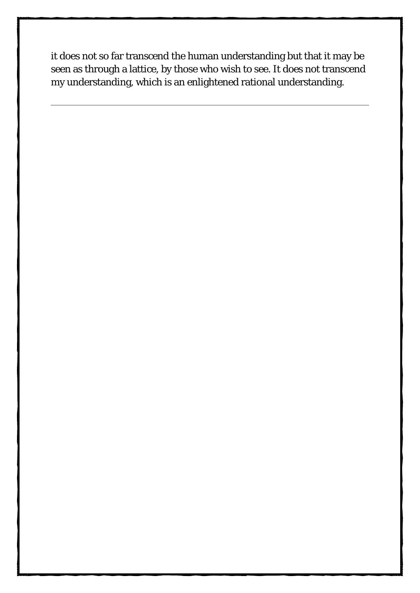it does not so far transcend the human understanding but that it may be seen as through a lattice, by those who wish to see. It does not transcend my understanding, which is an enlightened rational understanding.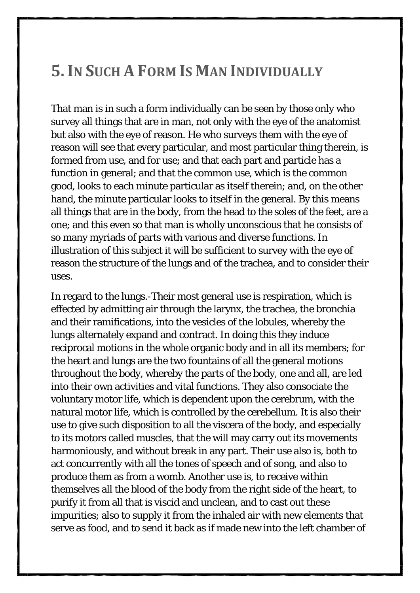#### <span id="page-11-0"></span>**5.IN SUCH A FORM IS MAN INDIVIDUALLY**

7

That man is in such a form individually can be seen by those only who survey all things that are in man, not only with the eye of the anatomist but also with the eye of reason. He who surveys them with the eye of reason will see that every particular, and most particular thing therein, is formed from use, and for use; and that each part and particle has a function in general; and that the common use, which is the common good, looks to each minute particular as itself therein; and, on the other hand, the minute particular looks to itself in the general. By this means all things that are in the body, from the head to the soles of the feet, are a one; and this even so that man is wholly unconscious that he consists of so many myriads of parts with various and diverse functions. In illustration of this subject it will be sufficient to survey with the eye of reason the structure of the lungs and of the trachea, and to consider their uses.

In regard to the lungs.-Their most general use is respiration, which is effected by admitting air through the larynx, the trachea, the bronchia and their ramifications, into the vesicles of the lobules, whereby the lungs alternately expand and contract. In doing this they induce reciprocal motions in the whole organic body and in all its members; for the heart and lungs are the two fountains of all the general motions throughout the body, whereby the parts of the body, one and all, are led into their own activities and vital functions. They also consociate the voluntary motor life, which is dependent upon the cerebrum, with the natural motor life, which is controlled by the cerebellum. It is also their use to give such disposition to all the viscera of the body, and especially to its motors called muscles, that the will may carry out its movements harmoniously, and without break in any part. Their use also is, both to act concurrently with all the tones of speech and of song, and also to produce them as from a womb. Another use is, to receive within themselves all the blood of the body from the right side of the heart, to purify it from all that is viscid and unclean, and to cast out these impurities; also to supply it from the inhaled air with new elements that serve as food, and to send it back as if made new into the left chamber of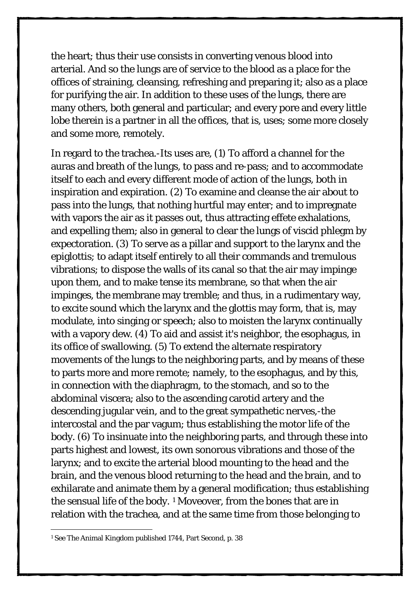the heart; thus their use consists in converting venous blood into arterial. And so the lungs are of service to the blood as a place for the offices of straining, cleansing, refreshing and preparing it; also as a place for purifying the air. In addition to these uses of the lungs, there are many others, both general and particular; and every pore and every little lobe therein is a partner in all the offices, that is, uses; some more closely and some more, remotely.

In regard to the trachea.-Its uses are, (1) To afford a channel for the auras and breath of the lungs, to pass and re-pass; and to accommodate itself to each and every different mode of action of the lungs, both in inspiration and expiration. (2) To examine and cleanse the air about to pass into the lungs, that nothing hurtful may enter; and to impregnate with vapors the air as it passes out, thus attracting effete exhalations, and expelling them; also in general to clear the lungs of viscid phlegm by expectoration. (3) To serve as a pillar and support to the larynx and the epiglottis; to adapt itself entirely to all their commands and tremulous vibrations; to dispose the walls of its canal so that the air may impinge upon them, and to make tense its membrane, so that when the air impinges, the membrane may tremble; and thus, in a rudimentary way, to excite sound which the larynx and the glottis may form, that is, may modulate, into singing or speech; also to moisten the larynx continually with a vapory dew. (4) To aid and assist it's neighbor, the esophagus, in its office of swallowing. (5) To extend the alternate respiratory movements of the lungs to the neighboring parts, and by means of these to parts more and more remote; namely, to the esophagus, and by this, in connection with the diaphragm, to the stomach, and so to the abdominal viscera; also to the ascending carotid artery and the descending jugular vein, and to the great sympathetic nerves,-the intercostal and the par vagum; thus establishing the motor life of the body. (6) To insinuate into the neighboring parts, and through these into parts highest and lowest, its own sonorous vibrations and those of the larynx; and to excite the arterial blood mounting to the head and the brain, and the venous blood returning to the head and the brain, and to exhilarate and animate them by a general modification; thus establishing the sensual life of the body. [1](#page-12-0) Moveover, from the bones that are in relation with the trachea, and at the same time from those belonging to

-

<span id="page-12-0"></span><sup>1</sup> See The Animal Kingdom published 1744, Part Second, p. 38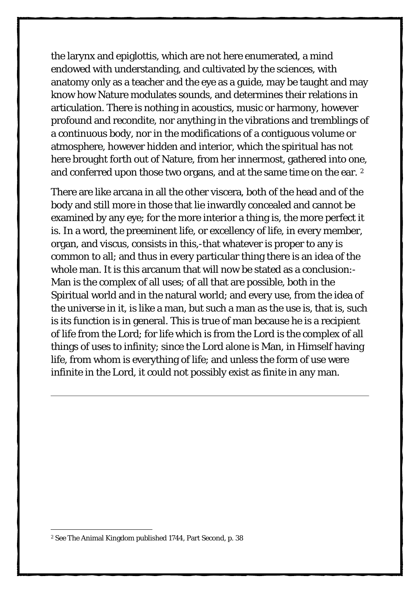the larynx and epiglottis, which are not here enumerated, a mind endowed with understanding, and cultivated by the sciences, with anatomy only as a teacher and the eye as a guide, may be taught and may know how Nature modulates sounds, and determines their relations in articulation. There is nothing in acoustics, music or harmony, however profound and recondite, nor anything in the vibrations and tremblings of a continuous body, nor in the modifications of a contiguous volume or atmosphere, however hidden and interior, which the spiritual has not here brought forth out of Nature, from her innermost, gathered into one, and conferred upon those two organs, and at the same time on the ear. [2](#page-13-0) 

There are like arcana in all the other viscera, both of the head and of the body and still more in those that lie inwardly concealed and cannot be examined by any eye; for the more interior a thing is, the more perfect it is. In a word, the preeminent life, or excellency of life, in every member, organ, and viscus, consists in this,-that whatever is proper to any is common to all; and thus in every particular thing there is an idea of the whole man. It is this arcanum that will now be stated as a conclusion:- Man is the complex of all uses; of all that are possible, both in the Spiritual world and in the natural world; and every use, from the idea of the universe in it, is like a man, but such a man as the use is, that is, such is its function is in general. This is true of man because he is a recipient of life from the Lord; for life which is from the Lord is the complex of all things of uses to infinity; since the Lord alone is Man, in Himself having life, from whom is everything of life; and unless the form of use were infinite in the Lord, it could not possibly exist as finite in any man.

-

<span id="page-13-0"></span><sup>2</sup> See The Animal Kingdom published 1744, Part Second, p. 38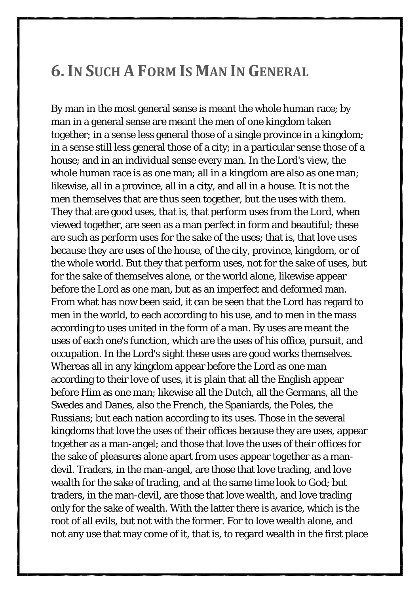#### <span id="page-14-0"></span>**6.IN SUCH A FORM IS MAN IN GENERAL**

By man in the most general sense is meant the whole human race; by man in a general sense are meant the men of one kingdom taken together; in a sense less general those of a single province in a kingdom; in a sense still less general those of a city; in a particular sense those of a house; and in an individual sense every man. In the Lord's view, the whole human race is as one man; all in a kingdom are also as one man; likewise, all in a province, all in a city, and all in a house. It is not the men themselves that are thus seen together, but the uses with them. They that are good uses, that is, that perform uses from the Lord, when viewed together, are seen as a man perfect in form and beautiful; these are such as perform uses for the sake of the uses; that is, that love uses because they are uses of the house, of the city, province, kingdom, or of the whole world. But they that perform uses, not for the sake of uses, but for the sake of themselves alone, or the world alone, likewise appear before the Lord as one man, but as an imperfect and deformed man. From what has now been said, it can be seen that the Lord has regard to men in the world, to each according to his use, and to men in the mass according to uses united in the form of a man. By uses are meant the uses of each one's function, which are the uses of his office, pursuit, and occupation. In the Lord's sight these uses are good works themselves. Whereas all in any kingdom appear before the Lord as one man according to their love of uses, it is plain that all the English appear before Him as one man; likewise all the Dutch, all the Germans, all the Swedes and Danes, also the French, the Spaniards, the Poles, the Russians; but each nation according to its uses. Those in the several kingdoms that love the uses of their offices because they are uses, appear together as a man-angel; and those that love the uses of their offices for the sake of pleasures alone apart from uses appear together as a mandevil. Traders, in the man-angel, are those that love trading, and love wealth for the sake of trading, and at the same time look to God; but traders, in the man-devil, are those that love wealth, and love trading only for the sake of wealth. With the latter there is avarice, which is the root of all evils, but not with the former. For to love wealth alone, and not any use that may come of it, that is, to regard wealth in the first place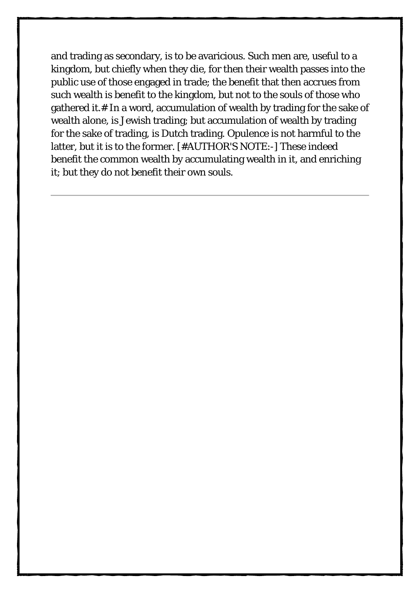and trading as secondary, is to be avaricious. Such men are, useful to a kingdom, but chiefly when they die, for then their wealth passes into the public use of those engaged in trade; the benefit that then accrues from such wealth is benefit to the kingdom, but not to the souls of those who gathered it.# In a word, accumulation of wealth by trading for the sake of wealth alone, is Jewish trading; but accumulation of wealth by trading for the sake of trading, is Dutch trading. Opulence is not harmful to the latter, but it is to the former. [#AUTHOR'S NOTE:-] These indeed benefit the common wealth by accumulating wealth in it, and enriching it; but they do not benefit their own souls.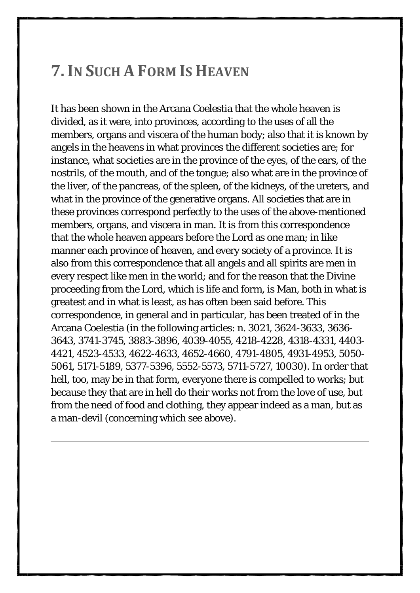#### <span id="page-16-0"></span>**7.IN SUCH A FORM IS HEAVEN**

It has been shown in the Arcana Coelestia that the whole heaven is divided, as it were, into provinces, according to the uses of all the members, organs and viscera of the human body; also that it is known by angels in the heavens in what provinces the different societies are; for instance, what societies are in the province of the eyes, of the ears, of the nostrils, of the mouth, and of the tongue; also what are in the province of the liver, of the pancreas, of the spleen, of the kidneys, of the ureters, and what in the province of the generative organs. All societies that are in these provinces correspond perfectly to the uses of the above-mentioned members, organs, and viscera in man. It is from this correspondence that the whole heaven appears before the Lord as one man; in like manner each province of heaven, and every society of a province. It is also from this correspondence that all angels and all spirits are men in every respect like men in the world; and for the reason that the Divine proceeding from the Lord, which is life and form, is Man, both in what is greatest and in what is least, as has often been said before. This correspondence, in general and in particular, has been treated of in the Arcana Coelestia (in the following articles: n. 3021, 3624-3633, 3636- 3643, 3741-3745, 3883-3896, 4039-4055, 4218-4228, 4318-4331, 4403- 4421, 4523-4533, 4622-4633, 4652-4660, 4791-4805, 4931-4953, 5050- 5061, 5171-5189, 5377-5396, 5552-5573, 5711-5727, 10030). In order that hell, too, may be in that form, everyone there is compelled to works; but because they that are in hell do their works not from the love of use, but from the need of food and clothing, they appear indeed as a man, but as a man-devil (concerning which see above).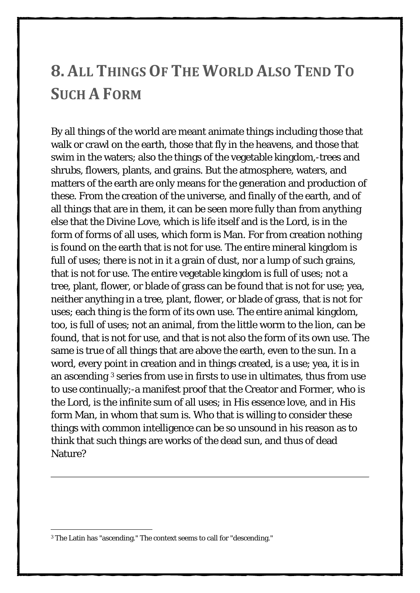#### <span id="page-17-0"></span>**8. ALL THINGS OF THE WORLD ALSO TEND TO SUCH A FORM**

By all things of the world are meant animate things including those that walk or crawl on the earth, those that fly in the heavens, and those that swim in the waters; also the things of the vegetable kingdom,-trees and shrubs, flowers, plants, and grains. But the atmosphere, waters, and matters of the earth are only means for the generation and production of these. From the creation of the universe, and finally of the earth, and of all things that are in them, it can be seen more fully than from anything else that the Divine Love, which is life itself and is the Lord, is in the form of forms of all uses, which form is Man. For from creation nothing is found on the earth that is not for use. The entire mineral kingdom is full of uses; there is not in it a grain of dust, nor a lump of such grains, that is not for use. The entire vegetable kingdom is full of uses; not a tree, plant, flower, or blade of grass can be found that is not for use; yea, neither anything in a tree, plant, flower, or blade of grass, that is not for uses; each thing is the form of its own use. The entire animal kingdom, too, is full of uses; not an animal, from the little worm to the lion, can be found, that is not for use, and that is not also the form of its own use. The same is true of all things that are above the earth, even to the sun. In a word, every point in creation and in things created, is a use; yea, it is in an ascending [3](#page-17-1) series from use in firsts to use in ultimates, thus from use to use continually;-a manifest proof that the Creator and Former, who is the Lord, is the infinite sum of all uses; in His essence love, and in His form Man, in whom that sum is. Who that is willing to consider these things with common intelligence can be so unsound in his reason as to think that such things are works of the dead sun, and thus of dead Nature?

-

<span id="page-17-1"></span><sup>3</sup> The Latin has "ascending." The context seems to call for "descending."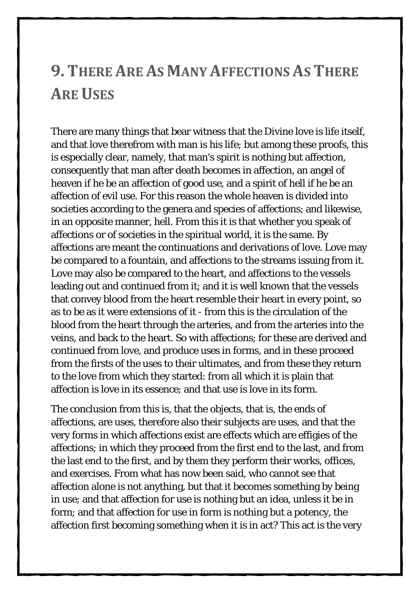#### <span id="page-18-0"></span>**9. THERE ARE AS MANY AFFECTIONS AS THERE ARE USES**

There are many things that bear witness that the Divine love is life itself, and that love therefrom with man is his life; but among these proofs, this is especially clear, namely, that man's spirit is nothing but affection, consequently that man after death becomes in affection, an angel of heaven if he be an affection of good use, and a spirit of hell if he be an affection of evil use. For this reason the whole heaven is divided into societies according to the genera and species of affections; and likewise, in an opposite manner, hell. From this it is that whether you speak of affections or of societies in the spiritual world, it is the same. By affections are meant the continuations and derivations of love. Love may be compared to a fountain, and affections to the streams issuing from it. Love may also be compared to the heart, and affections to the vessels leading out and continued from it; and it is well known that the vessels that convey blood from the heart resemble their heart in every point, so as to be as it were extensions of it - from this is the circulation of the blood from the heart through the arteries, and from the arteries into the veins, and back to the heart. So with affections; for these are derived and continued from love, and produce uses in forms, and in these proceed from the firsts of the uses to their ultimates, and from these they return to the love from which they started: from all which it is plain that affection is love in its essence; and that use is love in its form.

The conclusion from this is, that the objects, that is, the ends of affections, are uses, therefore also their subjects are uses, and that the very forms in which affections exist are effects which are effigies of the affections; in which they proceed from the first end to the last, and from the last end to the first, and by them they perform their works, offices, and exercises. From what has now been said, who cannot see that affection alone is not anything, but that it becomes something by being in use; and that affection for use is nothing but an idea, unless it be in form; and that affection for use in form is nothing but a potency, the affection first becoming something when it is in act? This act is the very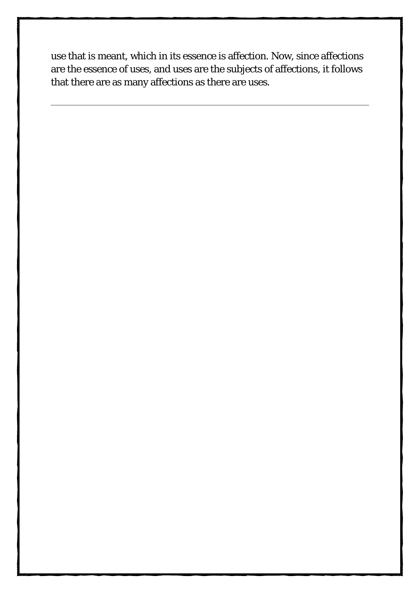use that is meant, which in its essence is affection. Now, since affections are the essence of uses, and uses are the subjects of affections, it follows that there are as many affections as there are uses.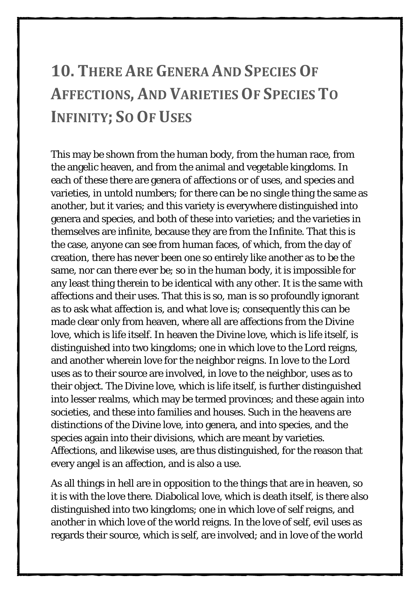## <span id="page-20-0"></span>**10. THERE ARE GENERA AND SPECIES OF AFFECTIONS, AND VARIETIES OF SPECIES TO INFINITY; SO OF USES**

This may be shown from the human body, from the human race, from the angelic heaven, and from the animal and vegetable kingdoms. In each of these there are genera of affections or of uses, and species and varieties, in untold numbers; for there can be no single thing the same as another, but it varies; and this variety is everywhere distinguished into genera and species, and both of these into varieties; and the varieties in themselves are infinite, because they are from the Infinite. That this is the case, anyone can see from human faces, of which, from the day of creation, there has never been one so entirely like another as to be the same, nor can there ever be; so in the human body, it is impossible for any least thing therein to be identical with any other. It is the same with affections and their uses. That this is so, man is so profoundly ignorant as to ask what affection is, and what love is; consequently this can be made clear only from heaven, where all are affections from the Divine love, which is life itself. In heaven the Divine love, which is life itself, is distinguished into two kingdoms; one in which love to the Lord reigns, and another wherein love for the neighbor reigns. In love to the Lord uses as to their source are involved, in love to the neighbor, uses as to their object. The Divine love, which is life itself, is further distinguished into lesser realms, which may be termed provinces; and these again into societies, and these into families and houses. Such in the heavens are distinctions of the Divine love, into genera, and into species, and the species again into their divisions, which are meant by varieties. Affections, and likewise uses, are thus distinguished, for the reason that every angel is an affection, and is also a use.

As all things in hell are in opposition to the things that are in heaven, so it is with the love there. Diabolical love, which is death itself, is there also distinguished into two kingdoms; one in which love of self reigns, and another in which love of the world reigns. In the love of self, evil uses as regards their source, which is self, are involved; and in love of the world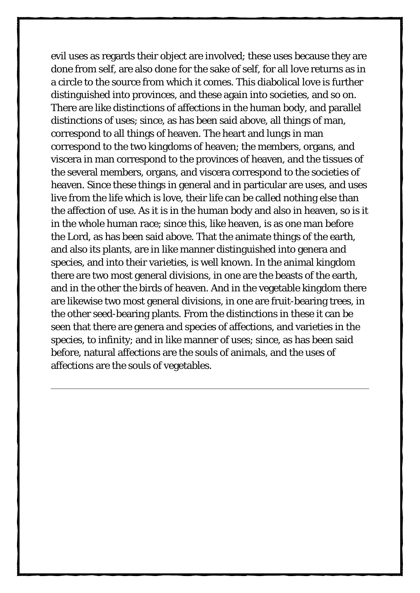evil uses as regards their object are involved; these uses because they are done from self, are also done for the sake of self, for all love returns as in a circle to the source from which it comes. This diabolical love is further distinguished into provinces, and these again into societies, and so on. There are like distinctions of affections in the human body, and parallel distinctions of uses; since, as has been said above, all things of man, correspond to all things of heaven. The heart and lungs in man correspond to the two kingdoms of heaven; the members, organs, and viscera in man correspond to the provinces of heaven, and the tissues of the several members, organs, and viscera correspond to the societies of heaven. Since these things in general and in particular are uses, and uses live from the life which is love, their life can be called nothing else than the affection of use. As it is in the human body and also in heaven, so is it in the whole human race; since this, like heaven, is as one man before the Lord, as has been said above. That the animate things of the earth, and also its plants, are in like manner distinguished into genera and species, and into their varieties, is well known. In the animal kingdom there are two most general divisions, in one are the beasts of the earth, and in the other the birds of heaven. And in the vegetable kingdom there are likewise two most general divisions, in one are fruit-bearing trees, in the other seed-bearing plants. From the distinctions in these it can be seen that there are genera and species of affections, and varieties in the species, to infinity; and in like manner of uses; since, as has been said before, natural affections are the souls of animals, and the uses of affections are the souls of vegetables.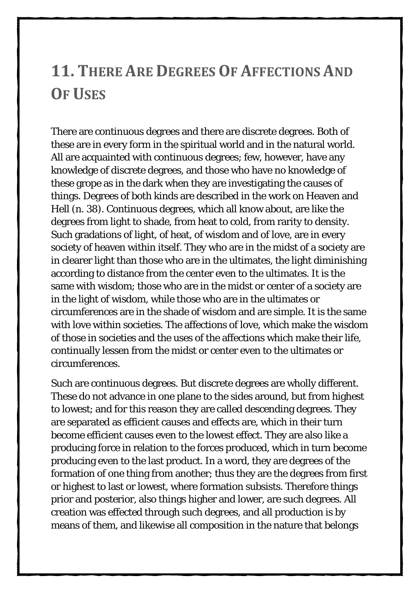#### <span id="page-22-0"></span>**11. THERE ARE DEGREES OF AFFECTIONS AND OF USES**

There are continuous degrees and there are discrete degrees. Both of these are in every form in the spiritual world and in the natural world. All are acquainted with continuous degrees; few, however, have any knowledge of discrete degrees, and those who have no knowledge of these grope as in the dark when they are investigating the causes of things. Degrees of both kinds are described in the work on Heaven and Hell (n. 38). Continuous degrees, which all know about, are like the degrees from light to shade, from heat to cold, from rarity to density. Such gradations of light, of heat, of wisdom and of love, are in every society of heaven within itself. They who are in the midst of a society are in clearer light than those who are in the ultimates, the light diminishing according to distance from the center even to the ultimates. It is the same with wisdom; those who are in the midst or center of a society are in the light of wisdom, while those who are in the ultimates or circumferences are in the shade of wisdom and are simple. It is the same with love within societies. The affections of love, which make the wisdom of those in societies and the uses of the affections which make their life, continually lessen from the midst or center even to the ultimates or circumferences.

Such are continuous degrees. But discrete degrees are wholly different. These do not advance in one plane to the sides around, but from highest to lowest; and for this reason they are called descending degrees. They are separated as efficient causes and effects are, which in their turn become efficient causes even to the lowest effect. They are also like a producing force in relation to the forces produced, which in turn become producing even to the last product. In a word, they are degrees of the formation of one thing from another; thus they are the degrees from first or highest to last or lowest, where formation subsists. Therefore things prior and posterior, also things higher and lower, are such degrees. All creation was effected through such degrees, and all production is by means of them, and likewise all composition in the nature that belongs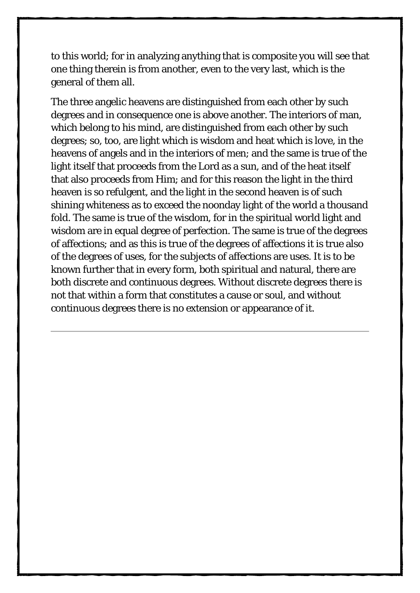to this world; for in analyzing anything that is composite you will see that one thing therein is from another, even to the very last, which is the general of them all.

The three angelic heavens are distinguished from each other by such degrees and in consequence one is above another. The interiors of man, which belong to his mind, are distinguished from each other by such degrees; so, too, are light which is wisdom and heat which is love, in the heavens of angels and in the interiors of men; and the same is true of the light itself that proceeds from the Lord as a sun, and of the heat itself that also proceeds from Him; and for this reason the light in the third heaven is so refulgent, and the light in the second heaven is of such shining whiteness as to exceed the noonday light of the world a thousand fold. The same is true of the wisdom, for in the spiritual world light and wisdom are in equal degree of perfection. The same is true of the degrees of affections; and as this is true of the degrees of affections it is true also of the degrees of uses, for the subjects of affections are uses. It is to be known further that in every form, both spiritual and natural, there are both discrete and continuous degrees. Without discrete degrees there is not that within a form that constitutes a cause or soul, and without continuous degrees there is no extension or appearance of it.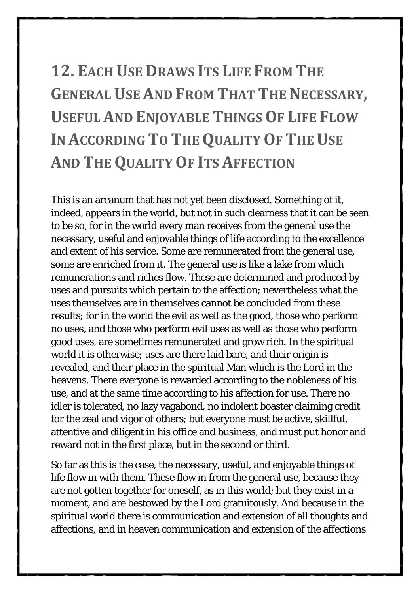# <span id="page-24-0"></span>**12. EACH USE DRAWS ITS LIFE FROM THE GENERAL USE AND FROM THAT THE NECESSARY, USEFUL AND ENJOYABLE THINGS OF LIFE FLOW IN ACCORDING TO THE QUALITY OF THE USE AND THE QUALITY OF ITS AFFECTION**

This is an arcanum that has not yet been disclosed. Something of it, indeed, appears in the world, but not in such clearness that it can be seen to be so, for in the world every man receives from the general use the necessary, useful and enjoyable things of life according to the excellence and extent of his service. Some are remunerated from the general use, some are enriched from it. The general use is like a lake from which remunerations and riches flow. These are determined and produced by uses and pursuits which pertain to the affection; nevertheless what the uses themselves are in themselves cannot be concluded from these results; for in the world the evil as well as the good, those who perform no uses, and those who perform evil uses as well as those who perform good uses, are sometimes remunerated and grow rich. In the spiritual world it is otherwise; uses are there laid bare, and their origin is revealed, and their place in the spiritual Man which is the Lord in the heavens. There everyone is rewarded according to the nobleness of his use, and at the same time according to his affection for use. There no idler is tolerated, no lazy vagabond, no indolent boaster claiming credit for the zeal and vigor of others; but everyone must be active, skillful, attentive and diligent in his office and business, and must put honor and reward not in the first place, but in the second or third.

So far as this is the case, the necessary, useful, and enjoyable things of life flow in with them. These flow in from the general use, because they are not gotten together for oneself, as in this world; but they exist in a moment, and are bestowed by the Lord gratuitously. And because in the spiritual world there is communication and extension of all thoughts and affections, and in heaven communication and extension of the affections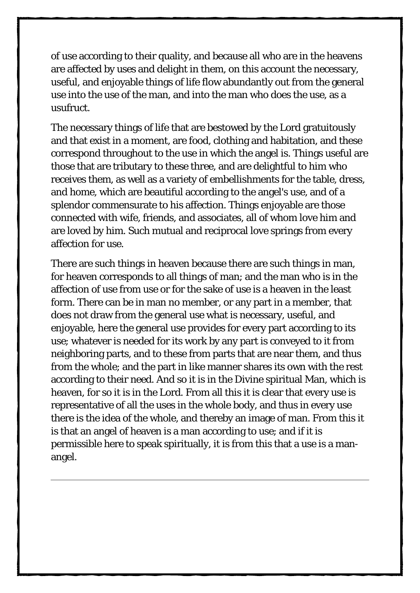of use according to their quality, and because all who are in the heavens are affected by uses and delight in them, on this account the necessary, useful, and enjoyable things of life flow abundantly out from the general use into the use of the man, and into the man who does the use, as a usufruct.

The necessary things of life that are bestowed by the Lord gratuitously and that exist in a moment, are food, clothing and habitation, and these correspond throughout to the use in which the angel is. Things useful are those that are tributary to these three, and are delightful to him who receives them, as well as a variety of embellishments for the table, dress, and home, which are beautiful according to the angel's use, and of a splendor commensurate to his affection. Things enjoyable are those connected with wife, friends, and associates, all of whom love him and are loved by him. Such mutual and reciprocal love springs from every affection for use.

There are such things in heaven because there are such things in man, for heaven corresponds to all things of man; and the man who is in the affection of use from use or for the sake of use is a heaven in the least form. There can be in man no member, or any part in a member, that does not draw from the general use what is necessary, useful, and enjoyable, here the general use provides for every part according to its use; whatever is needed for its work by any part is conveyed to it from neighboring parts, and to these from parts that are near them, and thus from the whole; and the part in like manner shares its own with the rest according to their need. And so it is in the Divine spiritual Man, which is heaven, for so it is in the Lord. From all this it is clear that every use is representative of all the uses in the whole body, and thus in every use there is the idea of the whole, and thereby an image of man. From this it is that an angel of heaven is a man according to use; and if it is permissible here to speak spiritually, it is from this that a use is a manangel.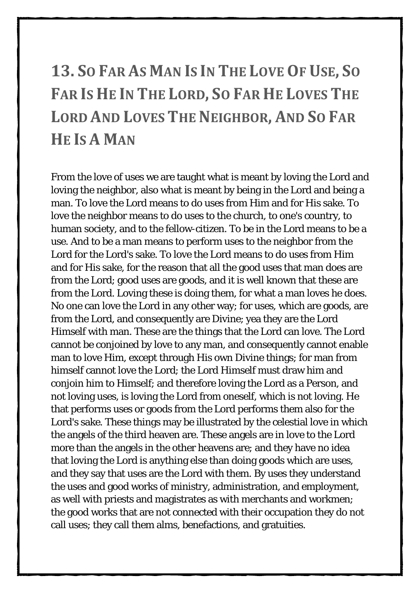# <span id="page-26-0"></span>**13. SO FAR AS MAN IS IN THE LOVE OF USE, SO FAR IS HE IN THE LORD, SO FAR HE LOVES THE LORD AND LOVES THE NEIGHBOR, AND SO FAR HE IS A MAN**

From the love of uses we are taught what is meant by loving the Lord and loving the neighbor, also what is meant by being in the Lord and being a man. To love the Lord means to do uses from Him and for His sake. To love the neighbor means to do uses to the church, to one's country, to human society, and to the fellow-citizen. To be in the Lord means to be a use. And to be a man means to perform uses to the neighbor from the Lord for the Lord's sake. To love the Lord means to do uses from Him and for His sake, for the reason that all the good uses that man does are from the Lord; good uses are goods, and it is well known that these are from the Lord. Loving these is doing them, for what a man loves he does. No one can love the Lord in any other way; for uses, which are goods, are from the Lord, and consequently are Divine; yea they are the Lord Himself with man. These are the things that the Lord can love. The Lord cannot be conjoined by love to any man, and consequently cannot enable man to love Him, except through His own Divine things; for man from himself cannot love the Lord; the Lord Himself must draw him and conjoin him to Himself; and therefore loving the Lord as a Person, and not loving uses, is loving the Lord from oneself, which is not loving. He that performs uses or goods from the Lord performs them also for the Lord's sake. These things may be illustrated by the celestial love in which the angels of the third heaven are. These angels are in love to the Lord more than the angels in the other heavens are; and they have no idea that loving the Lord is anything else than doing goods which are uses, and they say that uses are the Lord with them. By uses they understand the uses and good works of ministry, administration, and employment, as well with priests and magistrates as with merchants and workmen; the good works that are not connected with their occupation they do not call uses; they call them alms, benefactions, and gratuities.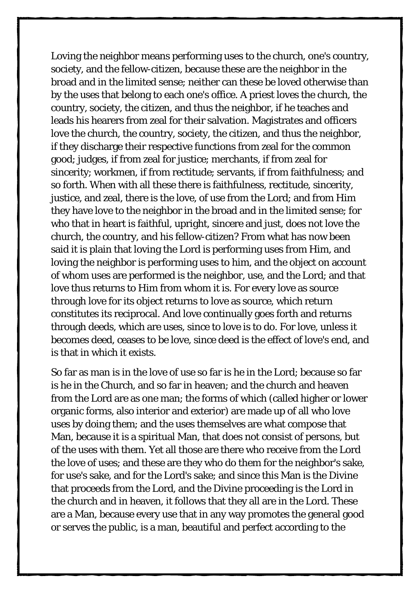Loving the neighbor means performing uses to the church, one's country, society, and the fellow-citizen, because these are the neighbor in the broad and in the limited sense; neither can these be loved otherwise than by the uses that belong to each one's office. A priest loves the church, the country, society, the citizen, and thus the neighbor, if he teaches and leads his hearers from zeal for their salvation. Magistrates and officers love the church, the country, society, the citizen, and thus the neighbor, if they discharge their respective functions from zeal for the common good; judges, if from zeal for justice; merchants, if from zeal for sincerity; workmen, if from rectitude; servants, if from faithfulness; and so forth. When with all these there is faithfulness, rectitude, sincerity, justice, and zeal, there is the love, of use from the Lord; and from Him they have love to the neighbor in the broad and in the limited sense; for who that in heart is faithful, upright, sincere and just, does not love the church, the country, and his fellow-citizen? From what has now been said it is plain that loving the Lord is performing uses from Him, and loving the neighbor is performing uses to him, and the object on account of whom uses are performed is the neighbor, use, and the Lord; and that love thus returns to Him from whom it is. For every love as source through love for its object returns to love as source, which return constitutes its reciprocal. And love continually goes forth and returns through deeds, which are uses, since to love is to do. For love, unless it becomes deed, ceases to be love, since deed is the effect of love's end, and is that in which it exists.

So far as man is in the love of use so far is he in the Lord; because so far is he in the Church, and so far in heaven; and the church and heaven from the Lord are as one man; the forms of which (called higher or lower organic forms, also interior and exterior) are made up of all who love uses by doing them; and the uses themselves are what compose that Man, because it is a spiritual Man, that does not consist of persons, but of the uses with them. Yet all those are there who receive from the Lord the love of uses; and these are they who do them for the neighbor's sake, for use's sake, and for the Lord's sake; and since this Man is the Divine that proceeds from the Lord, and the Divine proceeding is the Lord in the church and in heaven, it follows that they all are in the Lord. These are a Man, because every use that in any way promotes the general good or serves the public, is a man, beautiful and perfect according to the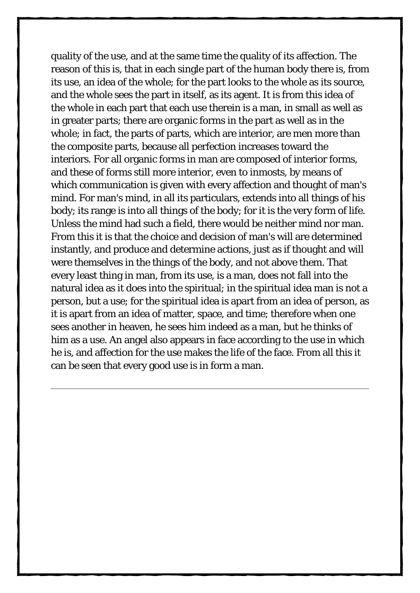quality of the use, and at the same time the quality of its affection. The reason of this is, that in each single part of the human body there is, from its use, an idea of the whole; for the part looks to the whole as its source, and the whole sees the part in itself, as its agent. It is from this idea of the whole in each part that each use therein is a man, in small as well as in greater parts; there are organic forms in the part as well as in the whole; in fact, the parts of parts, which are interior, are men more than the composite parts, because all perfection increases toward the interiors. For all organic forms in man are composed of interior forms, and these of forms still more interior, even to inmosts, by means of which communication is given with every affection and thought of man's mind. For man's mind, in all its particulars, extends into all things of his body; its range is into all things of the body; for it is the very form of life. Unless the mind had such a field, there would be neither mind nor man. From this it is that the choice and decision of man's will are determined instantly, and produce and determine actions, just as if thought and will were themselves in the things of the body, and not above them. That every least thing in man, from its use, is a man, does not fall into the natural idea as it does into the spiritual; in the spiritual idea man is not a person, but a use; for the spiritual idea is apart from an idea of person, as it is apart from an idea of matter, space, and time; therefore when one sees another in heaven, he sees him indeed as a man, but he thinks of him as a use. An angel also appears in face according to the use in which he is, and affection for the use makes the life of the face. From all this it can be seen that every good use is in form a man.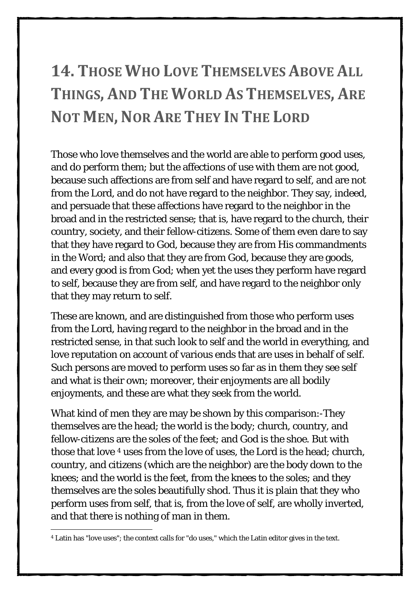## <span id="page-29-0"></span>**14. THOSE WHO LOVE THEMSELVES ABOVE ALL THINGS, AND THE WORLD AS THEMSELVES, ARE NOT MEN, NOR ARE THEY IN THE LORD**

Those who love themselves and the world are able to perform good uses, and do perform them; but the affections of use with them are not good, because such affections are from self and have regard to self, and are not from the Lord, and do not have regard to the neighbor. They say, indeed, and persuade that these affections have regard to the neighbor in the broad and in the restricted sense; that is, have regard to the church, their country, society, and their fellow-citizens. Some of them even dare to say that they have regard to God, because they are from His commandments in the Word; and also that they are from God, because they are goods, and every good is from God; when yet the uses they perform have regard to self, because they are from self, and have regard to the neighbor only that they may return to self.

These are known, and are distinguished from those who perform uses from the Lord, having regard to the neighbor in the broad and in the restricted sense, in that such look to self and the world in everything, and love reputation on account of various ends that are uses in behalf of self. Such persons are moved to perform uses so far as in them they see self and what is their own; moreover, their enjoyments are all bodily enjoyments, and these are what they seek from the world.

What kind of men they are may be shown by this comparison:-They themselves are the head; the world is the body; church, country, and fellow-citizens are the soles of the feet; and God is the shoe. But with those that love <sup>[4](#page-29-1)</sup> uses from the love of uses, the Lord is the head; church, country, and citizens (which are the neighbor) are the body down to the knees; and the world is the feet, from the knees to the soles; and they themselves are the soles beautifully shod. Thus it is plain that they who perform uses from self, that is, from the love of self, are wholly inverted, and that there is nothing of man in them.

<span id="page-29-1"></span><sup>-</sup><sup>4</sup> Latin has "love uses"; the context calls for "do uses," which the Latin editor gives in the text.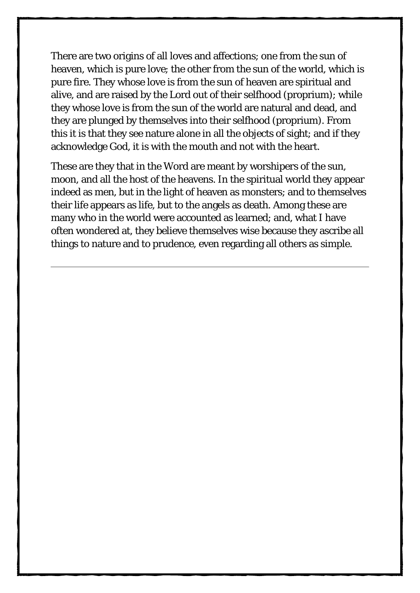There are two origins of all loves and affections; one from the sun of heaven, which is pure love; the other from the sun of the world, which is pure fire. They whose love is from the sun of heaven are spiritual and alive, and are raised by the Lord out of their selfhood (proprium); while they whose love is from the sun of the world are natural and dead, and they are plunged by themselves into their selfhood (proprium). From this it is that they see nature alone in all the objects of sight; and if they acknowledge God, it is with the mouth and not with the heart.

These are they that in the Word are meant by worshipers of the sun, moon, and all the host of the heavens. In the spiritual world they appear indeed as men, but in the light of heaven as monsters; and to themselves their life appears as life, but to the angels as death. Among these are many who in the world were accounted as learned; and, what I have often wondered at, they believe themselves wise because they ascribe all things to nature and to prudence, even regarding all others as simple.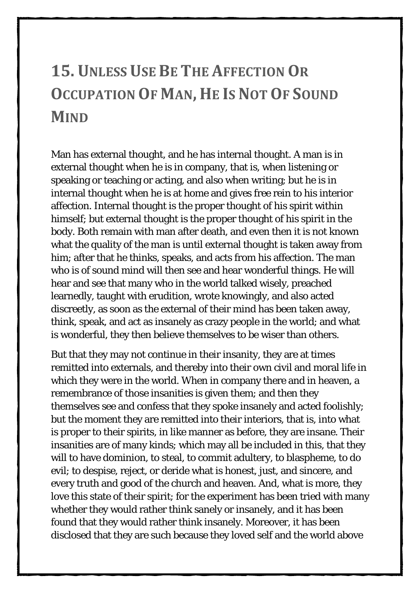## <span id="page-31-0"></span>**15. UNLESS USE BE THE AFFECTION OR OCCUPATION OF MAN, HE IS NOT OF SOUND MIND**

Man has external thought, and he has internal thought. A man is in external thought when he is in company, that is, when listening or speaking or teaching or acting, and also when writing; but he is in internal thought when he is at home and gives free rein to his interior affection. Internal thought is the proper thought of his spirit within himself; but external thought is the proper thought of his spirit in the body. Both remain with man after death, and even then it is not known what the quality of the man is until external thought is taken away from him; after that he thinks, speaks, and acts from his affection. The man who is of sound mind will then see and hear wonderful things. He will hear and see that many who in the world talked wisely, preached learnedly, taught with erudition, wrote knowingly, and also acted discreetly, as soon as the external of their mind has been taken away, think, speak, and act as insanely as crazy people in the world; and what is wonderful, they then believe themselves to be wiser than others.

But that they may not continue in their insanity, they are at times remitted into externals, and thereby into their own civil and moral life in which they were in the world. When in company there and in heaven, a remembrance of those insanities is given them; and then they themselves see and confess that they spoke insanely and acted foolishly; but the moment they are remitted into their interiors, that is, into what is proper to their spirits, in like manner as before, they are insane. Their insanities are of many kinds; which may all be included in this, that they will to have dominion, to steal, to commit adultery, to blaspheme, to do evil; to despise, reject, or deride what is honest, just, and sincere, and every truth and good of the church and heaven. And, what is more, they love this state of their spirit; for the experiment has been tried with many whether they would rather think sanely or insanely, and it has been found that they would rather think insanely. Moreover, it has been disclosed that they are such because they loved self and the world above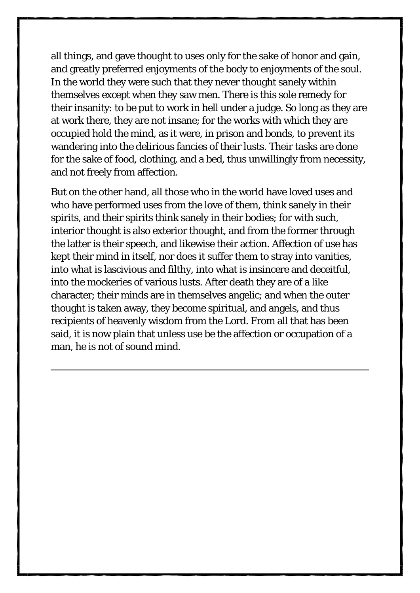all things, and gave thought to uses only for the sake of honor and gain, and greatly preferred enjoyments of the body to enjoyments of the soul. In the world they were such that they never thought sanely within themselves except when they saw men. There is this sole remedy for their insanity: to be put to work in hell under a judge. So long as they are at work there, they are not insane; for the works with which they are occupied hold the mind, as it were, in prison and bonds, to prevent its wandering into the delirious fancies of their lusts. Their tasks are done for the sake of food, clothing, and a bed, thus unwillingly from necessity, and not freely from affection.

But on the other hand, all those who in the world have loved uses and who have performed uses from the love of them, think sanely in their spirits, and their spirits think sanely in their bodies; for with such, interior thought is also exterior thought, and from the former through the latter is their speech, and likewise their action. Affection of use has kept their mind in itself, nor does it suffer them to stray into vanities, into what is lascivious and filthy, into what is insincere and deceitful, into the mockeries of various lusts. After death they are of a like character; their minds are in themselves angelic; and when the outer thought is taken away, they become spiritual, and angels, and thus recipients of heavenly wisdom from the Lord. From all that has been said, it is now plain that unless use be the affection or occupation of a man, he is not of sound mind.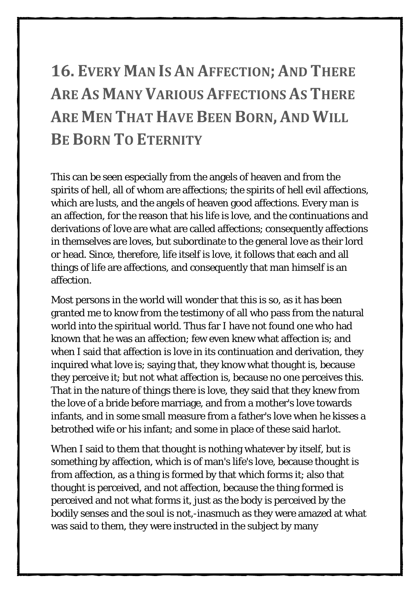## <span id="page-33-0"></span>**16. EVERY MAN IS AN AFFECTION; AND THERE ARE AS MANY VARIOUS AFFECTIONS AS THERE ARE MEN THAT HAVE BEEN BORN, AND WILL BE BORN TO ETERNITY**

This can be seen especially from the angels of heaven and from the spirits of hell, all of whom are affections; the spirits of hell evil affections, which are lusts, and the angels of heaven good affections. Every man is an affection, for the reason that his life is love, and the continuations and derivations of love are what are called affections; consequently affections in themselves are loves, but subordinate to the general love as their lord or head. Since, therefore, life itself is love, it follows that each and all things of life are affections, and consequently that man himself is an affection.

Most persons in the world will wonder that this is so, as it has been granted me to know from the testimony of all who pass from the natural world into the spiritual world. Thus far I have not found one who had known that he was an affection; few even knew what affection is; and when I said that affection is love in its continuation and derivation, they inquired what love is; saying that, they know what thought is, because they perceive it; but not what affection is, because no one perceives this. That in the nature of things there is love, they said that they knew from the love of a bride before marriage, and from a mother's love towards infants, and in some small measure from a father's love when he kisses a betrothed wife or his infant; and some in place of these said harlot.

When I said to them that thought is nothing whatever by itself, but is something by affection, which is of man's life's love, because thought is from affection, as a thing is formed by that which forms it; also that thought is perceived, and not affection, because the thing formed is perceived and not what forms it, just as the body is perceived by the bodily senses and the soul is not,-inasmuch as they were amazed at what was said to them, they were instructed in the subject by many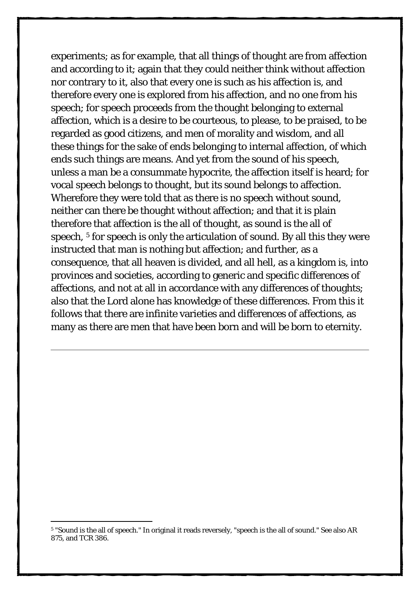experiments; as for example, that all things of thought are from affection and according to it; again that they could neither think without affection nor contrary to it, also that every one is such as his affection is, and therefore every one is explored from his affection, and no one from his speech; for speech proceeds from the thought belonging to external affection, which is a desire to be courteous, to please, to be praised, to be regarded as good citizens, and men of morality and wisdom, and all these things for the sake of ends belonging to internal affection, of which ends such things are means. And yet from the sound of his speech, unless a man be a consummate hypocrite, the affection itself is heard; for vocal speech belongs to thought, but its sound belongs to affection. Wherefore they were told that as there is no speech without sound, neither can there be thought without affection; and that it is plain therefore that affection is the all of thought, as sound is the all of speech, <sup>[5](#page-34-0)</sup> for speech is only the articulation of sound. By all this they were instructed that man is nothing but affection; and further, as a consequence, that all heaven is divided, and all hell, as a kingdom is, into provinces and societies, according to generic and specific differences of affections, and not at all in accordance with any differences of thoughts; also that the Lord alone has knowledge of these differences. From this it follows that there are infinite varieties and differences of affections, as many as there are men that have been born and will be born to eternity.

<span id="page-34-0"></span><sup>-</sup><sup>5</sup> "Sound is the all of speech." In original it reads reversely, "speech is the all of sound." See also AR 875, and TCR 386.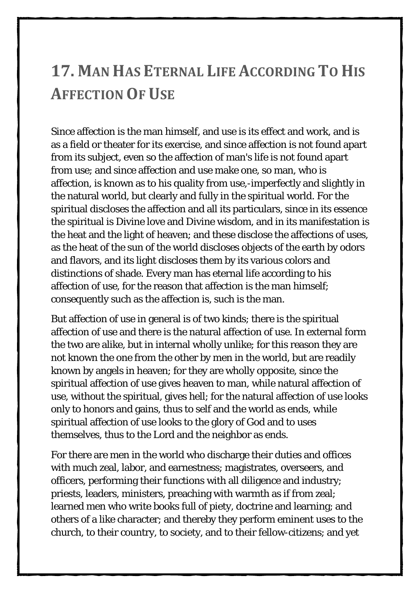#### <span id="page-35-0"></span>**17. MAN HAS ETERNAL LIFE ACCORDING TO HIS AFFECTION OF USE**

Since affection is the man himself, and use is its effect and work, and is as a field or theater for its exercise, and since affection is not found apart from its subject, even so the affection of man's life is not found apart from use; and since affection and use make one, so man, who is affection, is known as to his quality from use,-imperfectly and slightly in the natural world, but clearly and fully in the spiritual world. For the spiritual discloses the affection and all its particulars, since in its essence the spiritual is Divine love and Divine wisdom, and in its manifestation is the heat and the light of heaven; and these disclose the affections of uses, as the heat of the sun of the world discloses objects of the earth by odors and flavors, and its light discloses them by its various colors and distinctions of shade. Every man has eternal life according to his affection of use, for the reason that affection is the man himself; consequently such as the affection is, such is the man.

But affection of use in general is of two kinds; there is the spiritual affection of use and there is the natural affection of use. In external form the two are alike, but in internal wholly unlike; for this reason they are not known the one from the other by men in the world, but are readily known by angels in heaven; for they are wholly opposite, since the spiritual affection of use gives heaven to man, while natural affection of use, without the spiritual, gives hell; for the natural affection of use looks only to honors and gains, thus to self and the world as ends, while spiritual affection of use looks to the glory of God and to uses themselves, thus to the Lord and the neighbor as ends.

For there are men in the world who discharge their duties and offices with much zeal, labor, and earnestness; magistrates, overseers, and officers, performing their functions with all diligence and industry; priests, leaders, ministers, preaching with warmth as if from zeal; learned men who write books full of piety, doctrine and learning; and others of a like character; and thereby they perform eminent uses to the church, to their country, to society, and to their fellow-citizens; and yet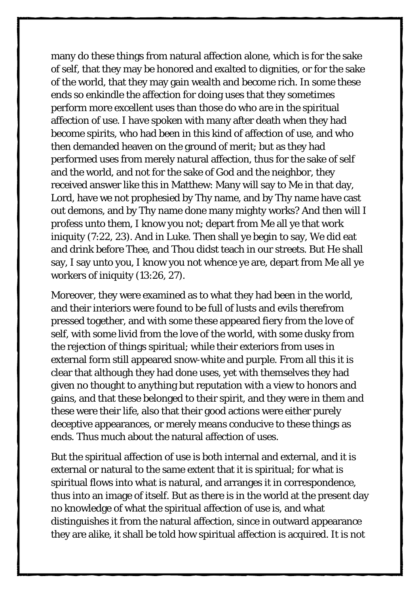many do these things from natural affection alone, which is for the sake of self, that they may be honored and exalted to dignities, or for the sake of the world, that they may gain wealth and become rich. In some these ends so enkindle the affection for doing uses that they sometimes perform more excellent uses than those do who are in the spiritual affection of use. I have spoken with many after death when they had become spirits, who had been in this kind of affection of use, and who then demanded heaven on the ground of merit; but as they had performed uses from merely natural affection, thus for the sake of self and the world, and not for the sake of God and the neighbor, they received answer like this in Matthew: Many will say to Me in that day, Lord, have we not prophesied by Thy name, and by Thy name have cast out demons, and by Thy name done many mighty works? And then will I profess unto them, I know you not; depart from Me all ye that work iniquity (7:22, 23). And in Luke. Then shall ye begin to say, We did eat and drink before Thee, and Thou didst teach in our streets. But He shall say, I say unto you, I know you not whence ye are, depart from Me all ye workers of iniquity (13:26, 27).

Moreover, they were examined as to what they had been in the world, and their interiors were found to be full of lusts and evils therefrom pressed together, and with some these appeared fiery from the love of self, with some livid from the love of the world, with some dusky from the rejection of things spiritual; while their exteriors from uses in external form still appeared snow-white and purple. From all this it is clear that although they had done uses, yet with themselves they had given no thought to anything but reputation with a view to honors and gains, and that these belonged to their spirit, and they were in them and these were their life, also that their good actions were either purely deceptive appearances, or merely means conducive to these things as ends. Thus much about the natural affection of uses.

But the spiritual affection of use is both internal and external, and it is external or natural to the same extent that it is spiritual; for what is spiritual flows into what is natural, and arranges it in correspondence, thus into an image of itself. But as there is in the world at the present day no knowledge of what the spiritual affection of use is, and what distinguishes it from the natural affection, since in outward appearance they are alike, it shall be told how spiritual affection is acquired. It is not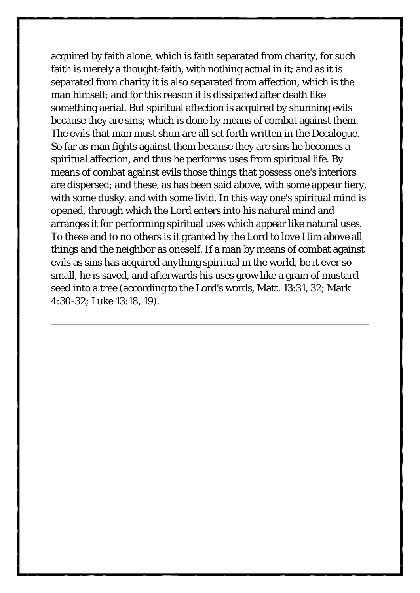acquired by faith alone, which is faith separated from charity, for such faith is merely a thought-faith, with nothing actual in it; and as it is separated from charity it is also separated from affection, which is the man himself; and for this reason it is dissipated after death like something aerial. But spiritual affection is acquired by shunning evils because they are sins; which is done by means of combat against them. The evils that man must shun are all set forth written in the Decalogue. So far as man fights against them because they are sins he becomes a spiritual affection, and thus he performs uses from spiritual life. By means of combat against evils those things that possess one's interiors are dispersed; and these, as has been said above, with some appear fiery, with some dusky, and with some livid. In this way one's spiritual mind is opened, through which the Lord enters into his natural mind and arranges it for performing spiritual uses which appear like natural uses. To these and to no others is it granted by the Lord to love Him above all things and the neighbor as oneself. If a man by means of combat against evils as sins has acquired anything spiritual in the world, be it ever so small, he is saved, and afterwards his uses grow like a grain of mustard seed into a tree (according to the Lord's words, Matt. 13:31, 32; Mark 4:30-32; Luke 13:18, 19).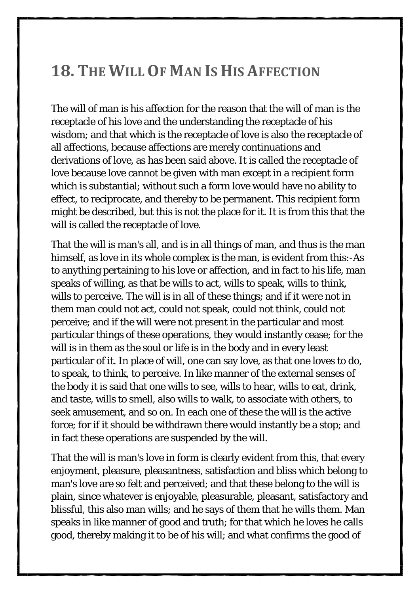#### <span id="page-38-0"></span>**18. THE WILL OF MAN IS HIS AFFECTION**

The will of man is his affection for the reason that the will of man is the receptacle of his love and the understanding the receptacle of his wisdom; and that which is the receptacle of love is also the receptacle of all affections, because affections are merely continuations and derivations of love, as has been said above. It is called the receptacle of love because love cannot be given with man except in a recipient form which is substantial; without such a form love would have no ability to effect, to reciprocate, and thereby to be permanent. This recipient form might be described, but this is not the place for it. It is from this that the will is called the receptacle of love.

That the will is man's all, and is in all things of man, and thus is the man himself, as love in its whole complex is the man, is evident from this:-As to anything pertaining to his love or affection, and in fact to his life, man speaks of willing, as that be wills to act, wills to speak, wills to think, wills to perceive. The will is in all of these things; and if it were not in them man could not act, could not speak, could not think, could not perceive; and if the will were not present in the particular and most particular things of these operations, they would instantly cease; for the will is in them as the soul or life is in the body and in every least particular of it. In place of will, one can say love, as that one loves to do, to speak, to think, to perceive. In like manner of the external senses of the body it is said that one wills to see, wills to hear, wills to eat, drink, and taste, wills to smell, also wills to walk, to associate with others, to seek amusement, and so on. In each one of these the will is the active force; for if it should be withdrawn there would instantly be a stop; and in fact these operations are suspended by the will.

That the will is man's love in form is clearly evident from this, that every enjoyment, pleasure, pleasantness, satisfaction and bliss which belong to man's love are so felt and perceived; and that these belong to the will is plain, since whatever is enjoyable, pleasurable, pleasant, satisfactory and blissful, this also man wills; and he says of them that he wills them. Man speaks in like manner of good and truth; for that which he loves he calls good, thereby making it to be of his will; and what confirms the good of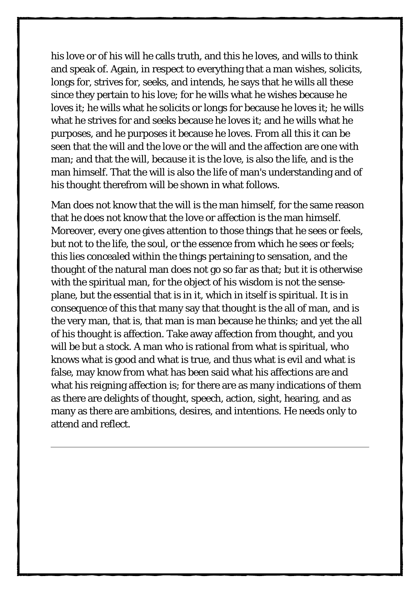his love or of his will he calls truth, and this he loves, and wills to think and speak of. Again, in respect to everything that a man wishes, solicits, longs for, strives for, seeks, and intends, he says that he wills all these since they pertain to his love; for he wills what he wishes because he loves it; he wills what he solicits or longs for because he loves it; he wills what he strives for and seeks because he loves it; and he wills what he purposes, and he purposes it because he loves. From all this it can be seen that the will and the love or the will and the affection are one with man; and that the will, because it is the love, is also the life, and is the man himself. That the will is also the life of man's understanding and of his thought therefrom will be shown in what follows.

Man does not know that the will is the man himself, for the same reason that he does not know that the love or affection is the man himself. Moreover, every one gives attention to those things that he sees or feels, but not to the life, the soul, or the essence from which he sees or feels; this lies concealed within the things pertaining to sensation, and the thought of the natural man does not go so far as that; but it is otherwise with the spiritual man, for the object of his wisdom is not the senseplane, but the essential that is in it, which in itself is spiritual. It is in consequence of this that many say that thought is the all of man, and is the very man, that is, that man is man because he thinks; and yet the all of his thought is affection. Take away affection from thought, and you will be but a stock. A man who is rational from what is spiritual, who knows what is good and what is true, and thus what is evil and what is false, may know from what has been said what his affections are and what his reigning affection is; for there are as many indications of them as there are delights of thought, speech, action, sight, hearing, and as many as there are ambitions, desires, and intentions. He needs only to attend and reflect.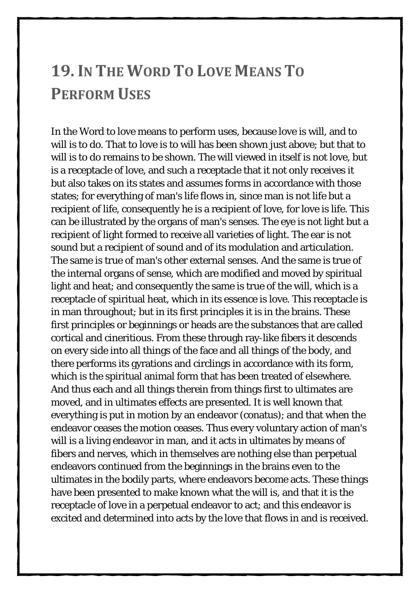#### <span id="page-40-0"></span>**19.IN THE WORD TO LOVE MEANS TO PERFORM USES**

In the Word to love means to perform uses, because love is will, and to will is to do. That to love is to will has been shown just above; but that to will is to do remains to be shown. The will viewed in itself is not love, but is a receptacle of love, and such a receptacle that it not only receives it but also takes on its states and assumes forms in accordance with those states; for everything of man's life flows in, since man is not life but a recipient of life, consequently he is a recipient of love, for love is life. This can be illustrated by the organs of man's senses. The eye is not light but a recipient of light formed to receive all varieties of light. The ear is not sound but a recipient of sound and of its modulation and articulation. The same is true of man's other external senses. And the same is true of the internal organs of sense, which are modified and moved by spiritual light and heat; and consequently the same is true of the will, which is a receptacle of spiritual heat, which in its essence is love. This receptacle is in man throughout; but in its first principles it is in the brains. These first principles or beginnings or heads are the substances that are called cortical and cineritious. From these through ray-like fibers it descends on every side into all things of the face and all things of the body, and there performs its gyrations and circlings in accordance with its form, which is the spiritual animal form that has been treated of elsewhere. And thus each and all things therein from things first to ultimates are moved, and in ultimates effects are presented. It is well known that everything is put in motion by an endeavor (conatus); and that when the endeavor ceases the motion ceases. Thus every voluntary action of man's will is a living endeavor in man, and it acts in ultimates by means of fibers and nerves, which in themselves are nothing else than perpetual endeavors continued from the beginnings in the brains even to the ultimates in the bodily parts, where endeavors become acts. These things have been presented to make known what the will is, and that it is the receptacle of love in a perpetual endeavor to act; and this endeavor is excited and determined into acts by the love that flows in and is received.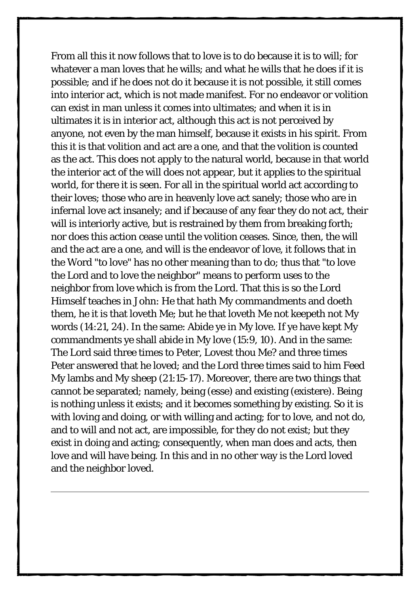From all this it now follows that to love is to do because it is to will; for whatever a man loves that he wills; and what he wills that he does if it is possible; and if he does not do it because it is not possible, it still comes into interior act, which is not made manifest. For no endeavor or volition can exist in man unless it comes into ultimates; and when it is in ultimates it is in interior act, although this act is not perceived by anyone, not even by the man himself, because it exists in his spirit. From this it is that volition and act are a one, and that the volition is counted as the act. This does not apply to the natural world, because in that world the interior act of the will does not appear, but it applies to the spiritual world, for there it is seen. For all in the spiritual world act according to their loves; those who are in heavenly love act sanely; those who are in infernal love act insanely; and if because of any fear they do not act, their will is interiorly active, but is restrained by them from breaking forth; nor does this action cease until the volition ceases. Since, then, the will and the act are a one, and will is the endeavor of love, it follows that in the Word "to love" has no other meaning than to do; thus that "to love the Lord and to love the neighbor" means to perform uses to the neighbor from love which is from the Lord. That this is so the Lord Himself teaches in John: He that hath My commandments and doeth them, he it is that loveth Me; but he that loveth Me not keepeth not My words (14:21, 24). In the same: Abide ye in My love. If ye have kept My commandments ye shall abide in My love (15:9, 10). And in the same: The Lord said three times to Peter, Lovest thou Me? and three times Peter answered that he loved; and the Lord three times said to him Feed My lambs and My sheep (21:15-17). Moreover, there are two things that cannot be separated; namely, being (esse) and existing (existere). Being is nothing unless it exists; and it becomes something by existing. So it is with loving and doing, or with willing and acting; for to love, and not do, and to will and not act, are impossible, for they do not exist; but they exist in doing and acting; consequently, when man does and acts, then love and will have being. In this and in no other way is the Lord loved and the neighbor loved.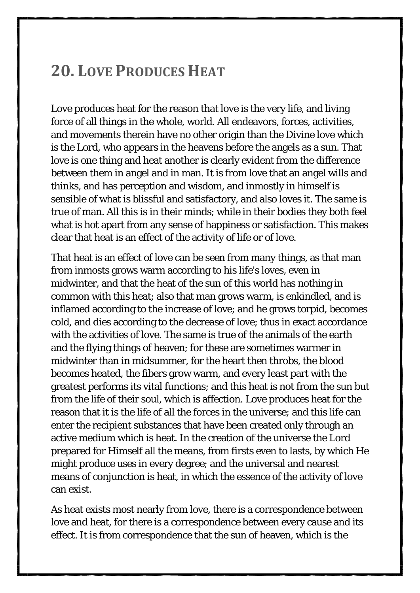#### <span id="page-42-0"></span>**20. LOVE PRODUCES HEAT**

Love produces heat for the reason that love is the very life, and living force of all things in the whole, world. All endeavors, forces, activities, and movements therein have no other origin than the Divine love which is the Lord, who appears in the heavens before the angels as a sun. That love is one thing and heat another is clearly evident from the difference between them in angel and in man. It is from love that an angel wills and thinks, and has perception and wisdom, and inmostly in himself is sensible of what is blissful and satisfactory, and also loves it. The same is true of man. All this is in their minds; while in their bodies they both feel what is hot apart from any sense of happiness or satisfaction. This makes clear that heat is an effect of the activity of life or of love.

That heat is an effect of love can be seen from many things, as that man from inmosts grows warm according to his life's loves, even in midwinter, and that the heat of the sun of this world has nothing in common with this heat; also that man grows warm, is enkindled, and is inflamed according to the increase of love; and he grows torpid, becomes cold, and dies according to the decrease of love; thus in exact accordance with the activities of love. The same is true of the animals of the earth and the flying things of heaven; for these are sometimes warmer in midwinter than in midsummer, for the heart then throbs, the blood becomes heated, the fibers grow warm, and every least part with the greatest performs its vital functions; and this heat is not from the sun but from the life of their soul, which is affection. Love produces heat for the reason that it is the life of all the forces in the universe; and this life can enter the recipient substances that have been created only through an active medium which is heat. In the creation of the universe the Lord prepared for Himself all the means, from firsts even to lasts, by which He might produce uses in every degree; and the universal and nearest means of conjunction is heat, in which the essence of the activity of love can exist.

As heat exists most nearly from love, there is a correspondence between love and heat, for there is a correspondence between every cause and its effect. It is from correspondence that the sun of heaven, which is the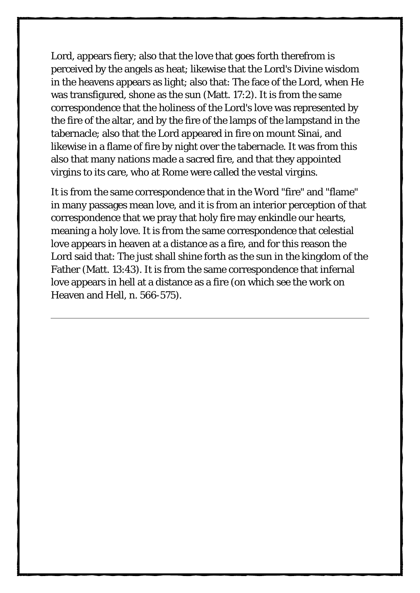Lord, appears fiery; also that the love that goes forth therefrom is perceived by the angels as heat; likewise that the Lord's Divine wisdom in the heavens appears as light; also that: The face of the Lord, when He was transfigured, shone as the sun (Matt. 17:2). It is from the same correspondence that the holiness of the Lord's love was represented by the fire of the altar, and by the fire of the lamps of the lampstand in the tabernacle; also that the Lord appeared in fire on mount Sinai, and likewise in a flame of fire by night over the tabernacle. It was from this also that many nations made a sacred fire, and that they appointed virgins to its care, who at Rome were called the vestal virgins.

It is from the same correspondence that in the Word "fire" and "flame" in many passages mean love, and it is from an interior perception of that correspondence that we pray that holy fire may enkindle our hearts, meaning a holy love. It is from the same correspondence that celestial love appears in heaven at a distance as a fire, and for this reason the Lord said that: The just shall shine forth as the sun in the kingdom of the Father (Matt. 13:43). It is from the same correspondence that infernal love appears in hell at a distance as a fire (on which see the work on Heaven and Hell, n. 566-575).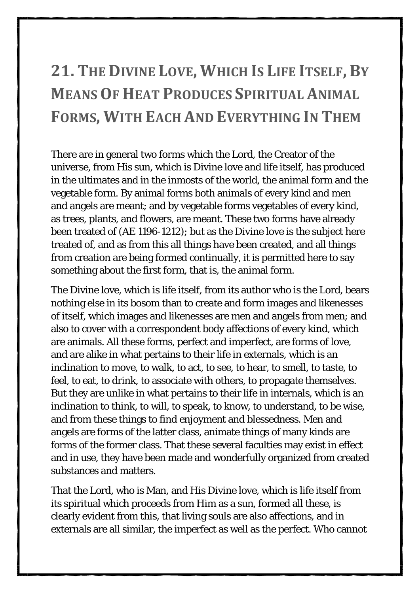## <span id="page-44-0"></span>**21. THE DIVINE LOVE, WHICH IS LIFE ITSELF, BY MEANS OF HEAT PRODUCES SPIRITUAL ANIMAL FORMS, WITH EACH AND EVERYTHING IN THEM**

There are in general two forms which the Lord, the Creator of the universe, from His sun, which is Divine love and life itself, has produced in the ultimates and in the inmosts of the world, the animal form and the vegetable form. By animal forms both animals of every kind and men and angels are meant; and by vegetable forms vegetables of every kind, as trees, plants, and flowers, are meant. These two forms have already been treated of (AE 1196-1212); but as the Divine love is the subject here treated of, and as from this all things have been created, and all things from creation are being formed continually, it is permitted here to say something about the first form, that is, the animal form.

The Divine love, which is life itself, from its author who is the Lord, bears nothing else in its bosom than to create and form images and likenesses of itself, which images and likenesses are men and angels from men; and also to cover with a correspondent body affections of every kind, which are animals. All these forms, perfect and imperfect, are forms of love, and are alike in what pertains to their life in externals, which is an inclination to move, to walk, to act, to see, to hear, to smell, to taste, to feel, to eat, to drink, to associate with others, to propagate themselves. But they are unlike in what pertains to their life in internals, which is an inclination to think, to will, to speak, to know, to understand, to be wise, and from these things to find enjoyment and blessedness. Men and angels are forms of the latter class, animate things of many kinds are forms of the former class. That these several faculties may exist in effect and in use, they have been made and wonderfully organized from created substances and matters.

That the Lord, who is Man, and His Divine love, which is life itself from its spiritual which proceeds from Him as a sun, formed all these, is clearly evident from this, that living souls are also affections, and in externals are all similar, the imperfect as well as the perfect. Who cannot